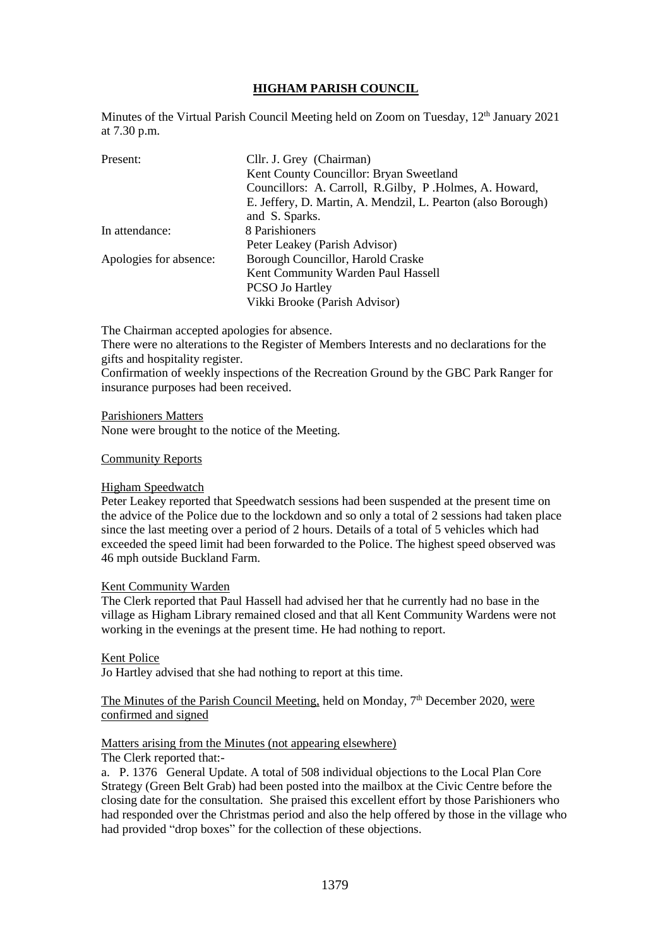# **HIGHAM PARISH COUNCIL**

Minutes of the Virtual Parish Council Meeting held on Zoom on Tuesday, 12<sup>th</sup> January 2021 at 7.30 p.m.

| Present:               | Cllr. J. Grey (Chairman)                                     |
|------------------------|--------------------------------------------------------------|
|                        | Kent County Councillor: Bryan Sweetland                      |
|                        | Councillors: A. Carroll, R. Gilby, P. Holmes, A. Howard,     |
|                        | E. Jeffery, D. Martin, A. Mendzil, L. Pearton (also Borough) |
|                        | and S. Sparks.                                               |
| In attendance:         | 8 Parishioners                                               |
|                        | Peter Leakey (Parish Advisor)                                |
| Apologies for absence: | Borough Councillor, Harold Craske                            |
|                        | Kent Community Warden Paul Hassell                           |
|                        | <b>PCSO Jo Hartley</b>                                       |
|                        | Vikki Brooke (Parish Advisor)                                |

The Chairman accepted apologies for absence.

There were no alterations to the Register of Members Interests and no declarations for the gifts and hospitality register.

Confirmation of weekly inspections of the Recreation Ground by the GBC Park Ranger for insurance purposes had been received.

#### Parishioners Matters

None were brought to the notice of the Meeting.

#### Community Reports

#### Higham Speedwatch

Peter Leakey reported that Speedwatch sessions had been suspended at the present time on the advice of the Police due to the lockdown and so only a total of 2 sessions had taken place since the last meeting over a period of 2 hours. Details of a total of 5 vehicles which had exceeded the speed limit had been forwarded to the Police. The highest speed observed was 46 mph outside Buckland Farm.

#### Kent Community Warden

The Clerk reported that Paul Hassell had advised her that he currently had no base in the village as Higham Library remained closed and that all Kent Community Wardens were not working in the evenings at the present time. He had nothing to report.

## Kent Police

Jo Hartley advised that she had nothing to report at this time.

## The Minutes of the Parish Council Meeting, held on Monday, 7<sup>th</sup> December 2020, were confirmed and signed

## Matters arising from the Minutes (not appearing elsewhere)

## The Clerk reported that:-

a. P. 1376 General Update. A total of 508 individual objections to the Local Plan Core Strategy (Green Belt Grab) had been posted into the mailbox at the Civic Centre before the closing date for the consultation. She praised this excellent effort by those Parishioners who had responded over the Christmas period and also the help offered by those in the village who had provided "drop boxes" for the collection of these objections.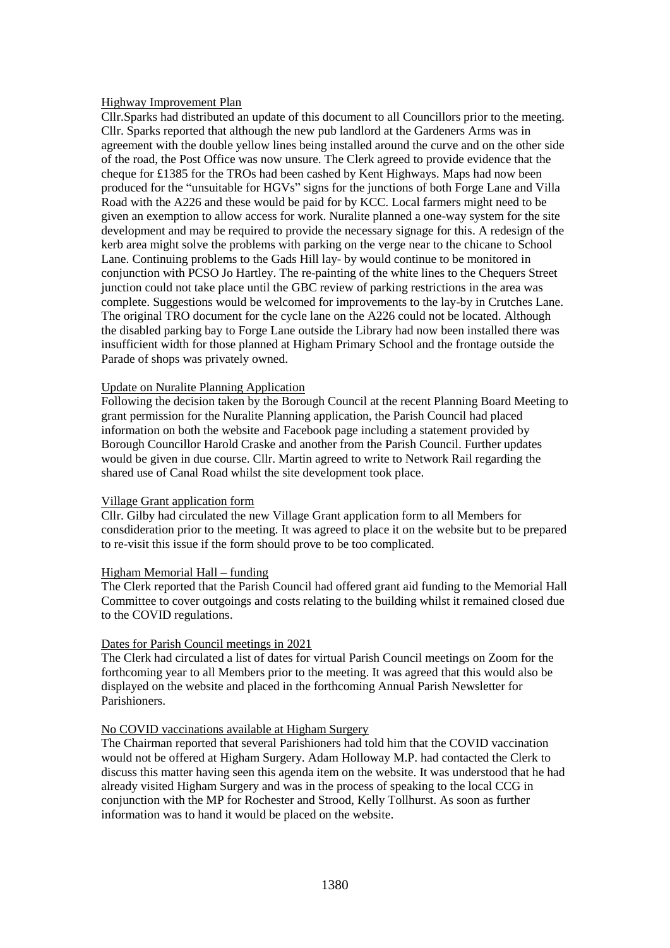## Highway Improvement Plan

Cllr.Sparks had distributed an update of this document to all Councillors prior to the meeting. Cllr. Sparks reported that although the new pub landlord at the Gardeners Arms was in agreement with the double yellow lines being installed around the curve and on the other side of the road, the Post Office was now unsure. The Clerk agreed to provide evidence that the cheque for £1385 for the TROs had been cashed by Kent Highways. Maps had now been produced for the "unsuitable for HGVs" signs for the junctions of both Forge Lane and Villa Road with the A226 and these would be paid for by KCC. Local farmers might need to be given an exemption to allow access for work. Nuralite planned a one-way system for the site development and may be required to provide the necessary signage for this. A redesign of the kerb area might solve the problems with parking on the verge near to the chicane to School Lane. Continuing problems to the Gads Hill lay- by would continue to be monitored in conjunction with PCSO Jo Hartley. The re-painting of the white lines to the Chequers Street junction could not take place until the GBC review of parking restrictions in the area was complete. Suggestions would be welcomed for improvements to the lay-by in Crutches Lane. The original TRO document for the cycle lane on the A226 could not be located. Although the disabled parking bay to Forge Lane outside the Library had now been installed there was insufficient width for those planned at Higham Primary School and the frontage outside the Parade of shops was privately owned.

#### Update on Nuralite Planning Application

Following the decision taken by the Borough Council at the recent Planning Board Meeting to grant permission for the Nuralite Planning application, the Parish Council had placed information on both the website and Facebook page including a statement provided by Borough Councillor Harold Craske and another from the Parish Council. Further updates would be given in due course. Cllr. Martin agreed to write to Network Rail regarding the shared use of Canal Road whilst the site development took place.

#### Village Grant application form

Cllr. Gilby had circulated the new Village Grant application form to all Members for consdideration prior to the meeting. It was agreed to place it on the website but to be prepared to re-visit this issue if the form should prove to be too complicated.

## Higham Memorial Hall – funding

The Clerk reported that the Parish Council had offered grant aid funding to the Memorial Hall Committee to cover outgoings and costs relating to the building whilst it remained closed due to the COVID regulations.

## Dates for Parish Council meetings in 2021

The Clerk had circulated a list of dates for virtual Parish Council meetings on Zoom for the forthcoming year to all Members prior to the meeting. It was agreed that this would also be displayed on the website and placed in the forthcoming Annual Parish Newsletter for Parishioners.

## No COVID vaccinations available at Higham Surgery

The Chairman reported that several Parishioners had told him that the COVID vaccination would not be offered at Higham Surgery. Adam Holloway M.P. had contacted the Clerk to discuss this matter having seen this agenda item on the website. It was understood that he had already visited Higham Surgery and was in the process of speaking to the local CCG in conjunction with the MP for Rochester and Strood, Kelly Tollhurst. As soon as further information was to hand it would be placed on the website.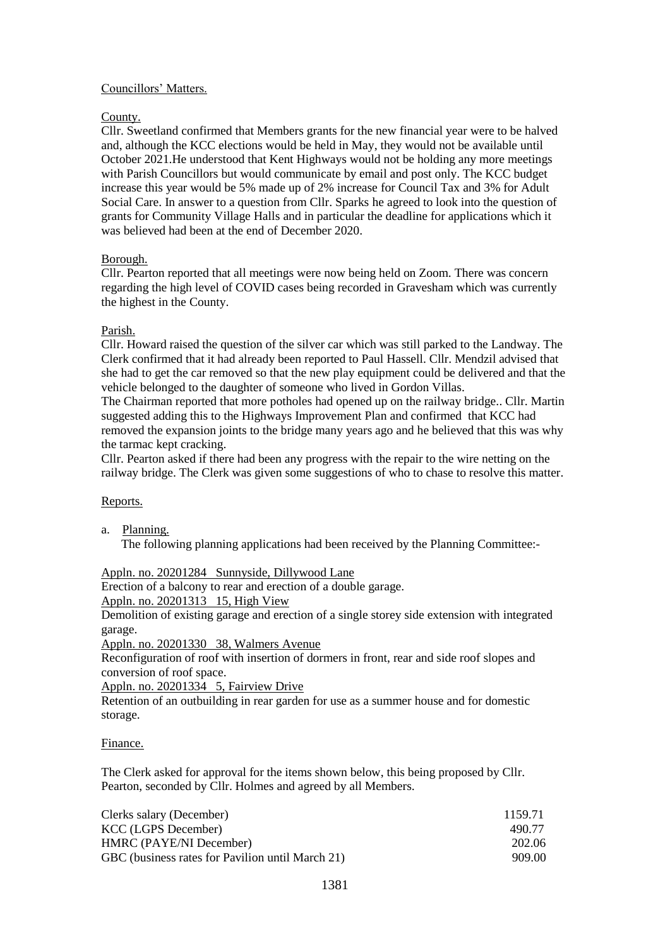# Councillors' Matters.

# County.

Cllr. Sweetland confirmed that Members grants for the new financial year were to be halved and, although the KCC elections would be held in May, they would not be available until October 2021.He understood that Kent Highways would not be holding any more meetings with Parish Councillors but would communicate by email and post only. The KCC budget increase this year would be 5% made up of 2% increase for Council Tax and 3% for Adult Social Care. In answer to a question from Cllr. Sparks he agreed to look into the question of grants for Community Village Halls and in particular the deadline for applications which it was believed had been at the end of December 2020.

# Borough.

Cllr. Pearton reported that all meetings were now being held on Zoom. There was concern regarding the high level of COVID cases being recorded in Gravesham which was currently the highest in the County.

# Parish.

Cllr. Howard raised the question of the silver car which was still parked to the Landway. The Clerk confirmed that it had already been reported to Paul Hassell. Cllr. Mendzil advised that she had to get the car removed so that the new play equipment could be delivered and that the vehicle belonged to the daughter of someone who lived in Gordon Villas.

The Chairman reported that more potholes had opened up on the railway bridge.. Cllr. Martin suggested adding this to the Highways Improvement Plan and confirmed that KCC had removed the expansion joints to the bridge many years ago and he believed that this was why the tarmac kept cracking.

Cllr. Pearton asked if there had been any progress with the repair to the wire netting on the railway bridge. The Clerk was given some suggestions of who to chase to resolve this matter.

## Reports.

a. Planning. The following planning applications had been received by the Planning Committee:-

Appln. no. 20201284 Sunnyside, Dillywood Lane

Erection of a balcony to rear and erection of a double garage.

Appln. no. 20201313 15, High View

Demolition of existing garage and erection of a single storey side extension with integrated garage.

Appln. no. 20201330 38, Walmers Avenue

Reconfiguration of roof with insertion of dormers in front, rear and side roof slopes and conversion of roof space.

Appln. no. 20201334 5, Fairview Drive

Retention of an outbuilding in rear garden for use as a summer house and for domestic storage.

## Finance.

The Clerk asked for approval for the items shown below, this being proposed by Cllr. Pearton, seconded by Cllr. Holmes and agreed by all Members.

| Clerks salary (December)                         | 1159.71 |
|--------------------------------------------------|---------|
| KCC (LGPS December)                              | 490.77  |
| HMRC (PAYE/NI December)                          | 202.06  |
| GBC (business rates for Pavilion until March 21) | 909.00  |